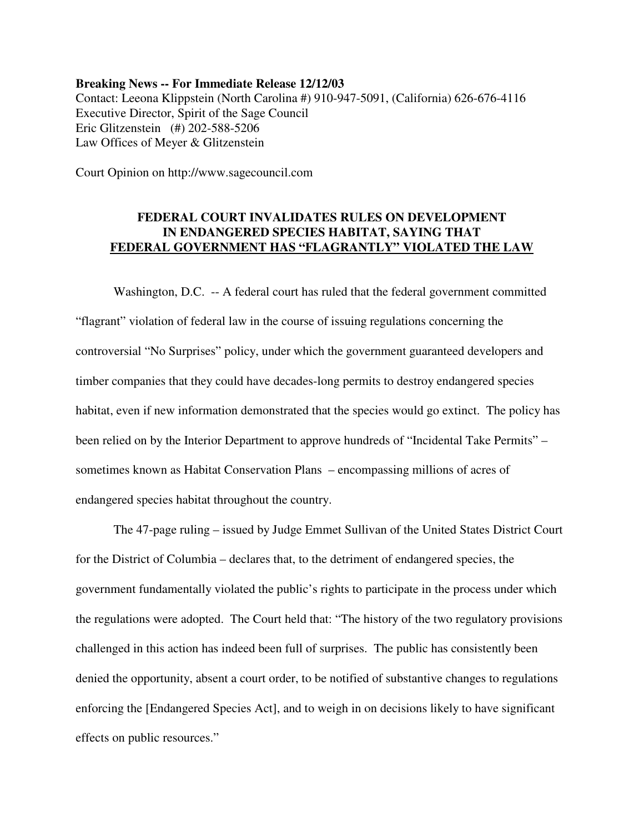**Breaking News -- For Immediate Release 12/12/03** Contact: Leeona Klippstein (North Carolina #) 910-947-5091, (California) 626-676-4116 Executive Director, Spirit of the Sage Council Eric Glitzenstein (#) 202-588-5206 Law Offices of Meyer & Glitzenstein

Court Opinion on http://www.sagecouncil.com

## **FEDERAL COURT INVALIDATES RULES ON DEVELOPMENT IN ENDANGERED SPECIES HABITAT, SAYING THAT FEDERAL GOVERNMENT HAS "FLAGRANTLY" VIOLATED THE LAW**

Washington, D.C. -- A federal court has ruled that the federal government committed "flagrant" violation of federal law in the course of issuing regulations concerning the controversial "No Surprises" policy, under which the government guaranteed developers and timber companies that they could have decades-long permits to destroy endangered species habitat, even if new information demonstrated that the species would go extinct. The policy has been relied on by the Interior Department to approve hundreds of "Incidental Take Permits" – sometimes known as Habitat Conservation Plans – encompassing millions of acres of endangered species habitat throughout the country.

The 47-page ruling – issued by Judge Emmet Sullivan of the United States District Court for the District of Columbia – declares that, to the detriment of endangered species, the government fundamentally violated the public's rights to participate in the process under which the regulations were adopted. The Court held that: "The history of the two regulatory provisions challenged in this action has indeed been full of surprises. The public has consistently been denied the opportunity, absent a court order, to be notified of substantive changes to regulations enforcing the [Endangered Species Act], and to weigh in on decisions likely to have significant effects on public resources."